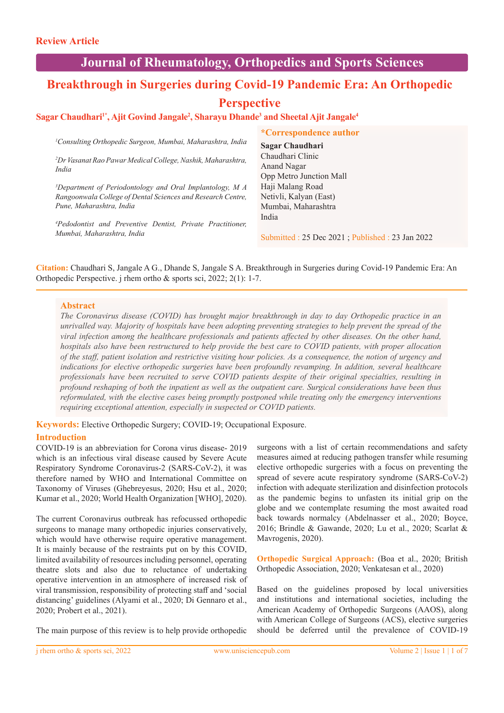## **Journal of Rheumatology, Orthopedics and Sports Sciences**

# **Breakthrough in Surgeries during Covid-19 Pandemic Era: An Orthopedic**

## **Perspective**

## $S$ agar Chaudhari<sup>1\*</sup>, Ajit Govind Jangale<sup>2</sup>, Sharayu Dhande<sup>3</sup> and Sheetal Ajit Jangale<sup>4</sup>

*1 Consulting Orthopedic Surgeon, Mumbai, Maharashtra, India*

*2 Dr Vasanat Rao Pawar Medical College, Nashik, Maharashtra, India*

*3 Department of Periodontology and Oral Implantology, M A Rangoonwala College of Dental Sciences and Research Centre, Pune, Maharashtra, India*

*4 Pedodontist and Preventive Dentist, Private Practitioner, Mumbai, Maharashtra, India*

#### **\*Correspondence author**

**Sagar Chaudhari** Chaudhari Clinic Anand Nagar Opp Metro Junction Mall Haji Malang Road Netivli, Kalyan (East) Mumbai, Maharashtra India

Submitted : 25 Dec 2021 ; Published : 23 Jan 2022

**Citation:** Chaudhari S, Jangale A G., Dhande S, Jangale S A. Breakthrough in Surgeries during Covid-19 Pandemic Era: An Orthopedic Perspective. j rhem ortho & sports sci, 2022; 2(1): 1-7.

## **Abstract**

*The Coronavirus disease (COVID) has brought major breakthrough in day to day Orthopedic practice in an unrivalled way. Majority of hospitals have been adopting preventing strategies to help prevent the spread of the viral infection among the healthcare professionals and patients affected by other diseases. On the other hand, hospitals also have been restructured to help provide the best care to COVID patients, with proper allocation of the staff, patient isolation and restrictive visiting hour policies. As a consequence, the notion of urgency and indications for elective orthopedic surgeries have been profoundly revamping. In addition, several healthcare professionals have been recruited to serve COVID patients despite of their original specialties, resulting in profound reshaping of both the inpatient as well as the outpatient care. Surgical considerations have been thus reformulated, with the elective cases being promptly postponed while treating only the emergency interventions requiring exceptional attention, especially in suspected or COVID patients.* 

**Keywords:** Elective Orthopedic Surgery; COVID-19; Occupational Exposure.

## **Introduction**

COVID-19 is an abbreviation for Corona virus disease- 2019 which is an infectious viral disease caused by Severe Acute Respiratory Syndrome Coronavirus-2 (SARS-CoV-2), it was therefore named by WHO and International Committee on Taxonomy of Viruses (Ghebreyesus, 2020; Hsu et al., 2020; Kumar et al., 2020; World Health Organization [WHO], 2020).

The current Coronavirus outbreak has refocussed orthopedic surgeons to manage many orthopedic injuries conservatively, which would have otherwise require operative management. It is mainly because of the restraints put on by this COVID, limited availability of resources including personnel, operating theatre slots and also due to reluctance of undertaking operative intervention in an atmosphere of increased risk of viral transmission, responsibility of protecting staff and 'social distancing' guidelines (Alyami et al., 2020; Di Gennaro et al., 2020; Probert et al., 2021).

The main purpose of this review is to help provide orthopedic

surgeons with a list of certain recommendations and safety measures aimed at reducing pathogen transfer while resuming elective orthopedic surgeries with a focus on preventing the spread of severe acute respiratory syndrome (SARS-CoV-2) infection with adequate sterilization and disinfection protocols as the pandemic begins to unfasten its initial grip on the globe and we contemplate resuming the most awaited road back towards normalcy (Abdelnasser et al., 2020; Boyce, 2016; Brindle & Gawande, 2020; Lu et al., 2020; Scarlat & Mavrogenis, 2020).

**Orthopedic Surgical Approach:** (Boa et al., 2020; British Orthopedic Association, 2020; Venkatesan et al., 2020)

Based on the guidelines proposed by local universities and institutions and international societies, including the American Academy of Orthopedic Surgeons (AAOS), along with American College of Surgeons (ACS), elective surgeries should be deferred until the prevalence of COVID-19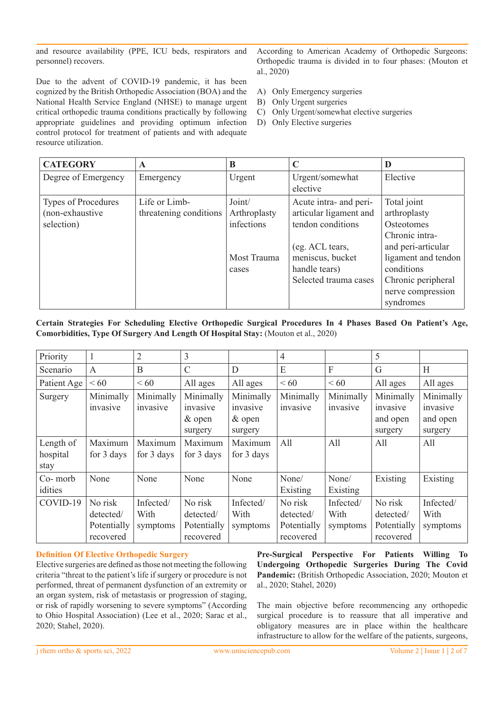and resource availability (PPE, ICU beds, respirators and personnel) recovers.

Due to the advent of COVID-19 pandemic, it has been cognized by the British Orthopedic Association (BOA) and the National Health Service England (NHSE) to manage urgent critical orthopedic trauma conditions practically by following appropriate guidelines and providing optimum infection control protocol for treatment of patients and with adequate resource utilization.

According to American Academy of Orthopedic Surgeons: Orthopedic trauma is divided in to four phases: (Mouton et al., 2020)

- A) Only Emergency surgeries
- B) Only Urgent surgeries
- C) Only Urgent/somewhat elective surgeries
- D) Only Elective surgeries

| <b>CATEGORY</b>                                             | A                                       | B                                                            | C                                                                                                                                                      | D                                                                                                                                                                                     |
|-------------------------------------------------------------|-----------------------------------------|--------------------------------------------------------------|--------------------------------------------------------------------------------------------------------------------------------------------------------|---------------------------------------------------------------------------------------------------------------------------------------------------------------------------------------|
| Degree of Emergency                                         | Emergency                               | Urgent                                                       | Urgent/somewhat<br>elective                                                                                                                            | Elective                                                                                                                                                                              |
| <b>Types of Procedures</b><br>(non-exhaustive<br>selection) | Life or Limb-<br>threatening conditions | Joint/<br>Arthroplasty<br>infections<br>Most Trauma<br>cases | Acute intra- and peri-<br>articular ligament and<br>tendon conditions<br>(eg. ACL tears,<br>meniscus, bucket<br>handle tears)<br>Selected trauma cases | Total joint<br>arthroplasty<br><b>Osteotomes</b><br>Chronic intra-<br>and peri-articular<br>ligament and tendon<br>conditions<br>Chronic peripheral<br>nerve compression<br>syndromes |

## **Certain Strategies For Scheduling Elective Orthopedic Surgical Procedures In 4 Phases Based On Patient's Age, Comorbidities, Type Of Surgery And Length Of Hospital Stay:** (Mouton et al., 2020)

| Priority    |              | $\overline{2}$ | 3             |            | $\overline{4}$ |           | 5           |           |
|-------------|--------------|----------------|---------------|------------|----------------|-----------|-------------|-----------|
| Scenario    | $\mathsf{A}$ | B              | $\mathcal{C}$ | D          | E              | F         | G           | Η         |
| Patient Age | <60          | <60            | All ages      | All ages   | <60            | <60       | All ages    | All ages  |
| Surgery     | Minimally    | Minimally      | Minimally     | Minimally  | Minimally      | Minimally | Minimally   | Minimally |
|             | invasive     | invasive       | invasive      | invasive   | invasive       | invasive  | invasive    | invasive  |
|             |              |                | $&$ open      | & open     |                |           | and open    | and open  |
|             |              |                | surgery       | surgery    |                |           | surgery     | surgery   |
| Length of   | Maximum      | Maximum        | Maximum       | Maximum    | All            | All       | All         | All       |
| hospital    | for 3 days   | for 3 days     | for 3 days    | for 3 days |                |           |             |           |
| stay        |              |                |               |            |                |           |             |           |
| Co- morb    | None         | None           | None          | None       | None/          | None/     | Existing    | Existing  |
| idities     |              |                |               |            | Existing       | Existing  |             |           |
| COVID-19    | No risk      | Infected/      | No risk       | Infected/  | No risk        | Infected/ | No risk     | Infected/ |
|             | detected/    | With           | detected/     | With       | detected/      | With      | detected/   | With      |
|             | Potentially  | symptoms       | Potentially   | symptoms   | Potentially    | symptoms  | Potentially | symptoms  |
|             | recovered    |                | recovered     |            | recovered      |           | recovered   |           |

## **Definition Of Elective Orthopedic Surgery**

Elective surgeries are defined as those not meeting the following criteria "threat to the patient's life if surgery or procedure is not performed, threat of permanent dysfunction of an extremity or an organ system, risk of metastasis or progression of staging, or risk of rapidly worsening to severe symptoms" (According to Ohio Hospital Association) (Lee et al., 2020; Sarac et al., 2020; Stahel, 2020).

**Pre-Surgical Perspective For Patients Willing To Undergoing Orthopedic Surgeries During The Covid Pandemic:** (British Orthopedic Association, 2020; Mouton et al., 2020; Stahel, 2020)

The main objective before recommencing any orthopedic surgical procedure is to reassure that all imperative and obligatory measures are in place within the healthcare infrastructure to allow for the welfare of the patients, surgeons,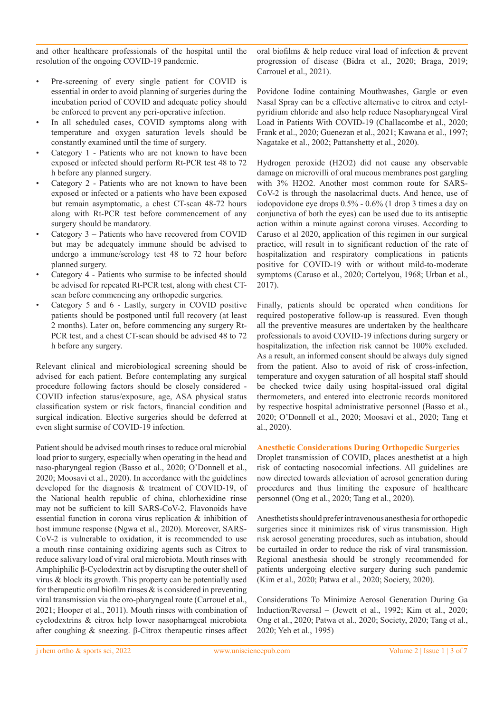and other healthcare professionals of the hospital until the resolution of the ongoing COVID-19 pandemic.

- Pre-screening of every single patient for COVID is essential in order to avoid planning of surgeries during the incubation period of COVID and adequate policy should be enforced to prevent any peri-operative infection.
- In all scheduled cases, COVID symptoms along with temperature and oxygen saturation levels should be constantly examined until the time of surgery.
- Category 1 Patients who are not known to have been exposed or infected should perform Rt-PCR test 48 to 72 h before any planned surgery.
- Category 2 Patients who are not known to have been exposed or infected or a patients who have been exposed but remain asymptomatic, a chest CT-scan 48-72 hours along with Rt-PCR test before commencement of any surgery should be mandatory.
- Category 3 Patients who have recovered from COVID but may be adequately immune should be advised to undergo a immune/serology test 48 to 72 hour before planned surgery.
- Category 4 Patients who surmise to be infected should be advised for repeated Rt-PCR test, along with chest CTscan before commencing any orthopedic surgeries.
- Category 5 and 6 Lastly, surgery in COVID positive patients should be postponed until full recovery (at least 2 months). Later on, before commencing any surgery Rt-PCR test, and a chest CT-scan should be advised 48 to 72 h before any surgery.

Relevant clinical and microbiological screening should be advised for each patient. Before contemplating any surgical procedure following factors should be closely considered - COVID infection status/exposure, age, ASA physical status classification system or risk factors, financial condition and surgical indication. Elective surgeries should be deferred at even slight surmise of COVID-19 infection.

Patient should be advised mouth rinses to reduce oral microbial load prior to surgery, especially when operating in the head and naso-pharyngeal region (Basso et al., 2020; O'Donnell et al., 2020; Moosavi et al., 2020). In accordance with the guidelines developed for the diagnosis & treatment of COVID-19, of the National health republic of china, chlorhexidine rinse may not be sufficient to kill SARS-CoV-2. Flavonoids have essential function in corona virus replication & inhibition of host immune response (Ngwa et al., 2020). Moreover, SARS-CoV-2 is vulnerable to oxidation, it is recommended to use a mouth rinse containing oxidizing agents such as Citrox to reduce salivary load of viral oral microbiota. Mouth rinses with Amphiphilic β-Cyclodextrin act by disrupting the outer shell of virus & block its growth. This property can be potentially used for therapeutic oral biofilm rinses  $\&$  is considered in preventing viral transmission via the oro-pharyngeal route (Carrouel et al., 2021; Hooper et al., 2011). Mouth rinses with combination of cyclodextrins & citrox help lower nasopharngeal microbiota after coughing & sneezing. β-Citrox therapeutic rinses affect

oral biofilms & help reduce viral load of infection & prevent progression of disease (Bidra et al., 2020; Braga, 2019; Carrouel et al., 2021).

Povidone Iodine containing Mouthwashes, Gargle or even Nasal Spray can be a effective alternative to citrox and cetylpyridium chloride and also help reduce Nasopharyngeal Viral Load in Patients With COVID-19 (Challacombe et al., 2020; Frank et al., 2020; Guenezan et al., 2021; Kawana et al., 1997; Nagatake et al., 2002; Pattanshetty et al., 2020).

Hydrogen peroxide (H2O2) did not cause any observable damage on microvilli of oral mucous membranes post gargling with 3% H2O2. Another most common route for SARS-CoV-2 is through the nasolacrimal ducts. And hence, use of iodopovidone eye drops 0.5% - 0.6% (1 drop 3 times a day on conjunctiva of both the eyes) can be used due to its antiseptic action within a minute against corona viruses. According to Caruso et al 2020, application of this regimen in our surgical practice, will result in to significant reduction of the rate of hospitalization and respiratory complications in patients positive for COVID-19 with or without mild-to-moderate symptoms (Caruso et al., 2020; Cortelyou, 1968; Urban et al., 2017).

Finally, patients should be operated when conditions for required postoperative follow-up is reassured. Even though all the preventive measures are undertaken by the healthcare professionals to avoid COVID-19 infections during surgery or hospitalization, the infection risk cannot be 100% excluded. As a result, an informed consent should be always duly signed from the patient. Also to avoid of risk of cross-infection, temperature and oxygen saturation of all hospital staff should be checked twice daily using hospital-issued oral digital thermometers, and entered into electronic records monitored by respective hospital administrative personnel (Basso et al., 2020; O'Donnell et al., 2020; Moosavi et al., 2020; Tang et al., 2020).

#### **Anesthetic Considerations During Orthopedic Surgeries**

Droplet transmission of COVID, places anesthetist at a high risk of contacting nosocomial infections. All guidelines are now directed towards alleviation of aerosol generation during procedures and thus limiting the exposure of healthcare personnel (Ong et al., 2020; Tang et al., 2020).

Anesthetists should prefer intravenous anesthesia for orthopedic surgeries since it minimizes risk of virus transmission. High risk aerosol generating procedures, such as intubation, should be curtailed in order to reduce the risk of viral transmission. Regional anesthesia should be strongly recommended for patients undergoing elective surgery during such pandemic (Kim et al., 2020; Patwa et al., 2020; Society, 2020).

Considerations To Minimize Aerosol Generation During Ga Induction/Reversal – (Jewett et al., 1992; Kim et al., 2020; Ong et al., 2020; Patwa et al., 2020; Society, 2020; Tang et al., 2020; Yeh et al., 1995)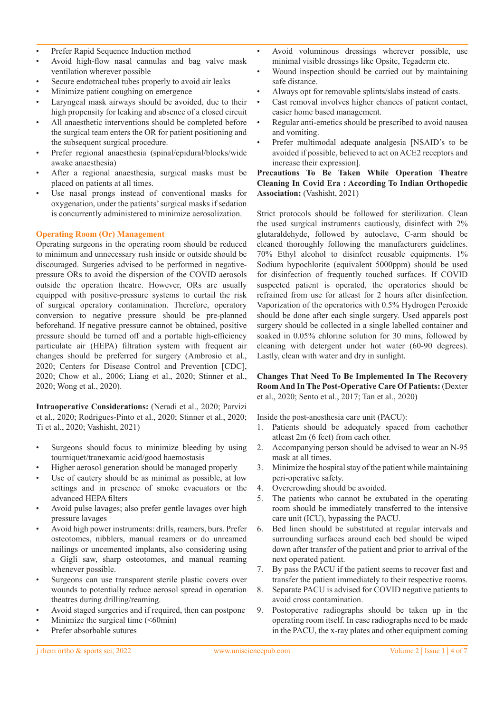- Prefer Rapid Sequence Induction method
- Avoid high-flow nasal cannulas and bag valve mask ventilation wherever possible
- Secure endotracheal tubes properly to avoid air leaks
- Minimize patient coughing on emergence
- Laryngeal mask airways should be avoided, due to their high propensity for leaking and absence of a closed circuit
- All anaesthetic interventions should be completed before the surgical team enters the OR for patient positioning and the subsequent surgical procedure.
- Prefer regional anaesthesia (spinal/epidural/blocks/wide awake anaesthesia)
- After a regional anaesthesia, surgical masks must be placed on patients at all times.
- Use nasal prongs instead of conventional masks for oxygenation, under the patients' surgical masks if sedation is concurrently administered to minimize aerosolization.

## **Operating Room (Or) Management**

Operating surgeons in the operating room should be reduced to minimum and unnecessary rush inside or outside should be discouraged. Surgeries advised to be performed in negativepressure ORs to avoid the dispersion of the COVID aerosols outside the operation theatre. However, ORs are usually equipped with positive-pressure systems to curtail the risk of surgical operatory contamination. Therefore, operatory conversion to negative pressure should be pre-planned beforehand. If negative pressure cannot be obtained, positive pressure should be turned off and a portable high-efficiency particulate air (HEPA) filtration system with frequent air changes should be preferred for surgery (Ambrosio et al., 2020; Centers for Disease Control and Prevention [CDC], 2020; Chow et al., 2006; Liang et al., 2020; Stinner et al., 2020; Wong et al., 2020).

**Intraoperative Considerations:** (Neradi et al., 2020; Parvizi et al., 2020; Rodrigues-Pinto et al., 2020; Stinner et al., 2020; Ti et al., 2020; Vashisht, 2021)

- Surgeons should focus to minimize bleeding by using tourniquet/tranexamic acid/good haemostasis
- Higher aerosol generation should be managed properly
- Use of cautery should be as minimal as possible, at low settings and in presence of smoke evacuators or the advanced HEPA filters
- Avoid pulse lavages; also prefer gentle lavages over high pressure lavages
- Avoid high power instruments: drills, reamers, burs. Prefer osteotomes, nibblers, manual reamers or do unreamed nailings or uncemented implants, also considering using a Gigli saw, sharp osteotomes, and manual reaming whenever possible.
- Surgeons can use transparent sterile plastic covers over wounds to potentially reduce aerosol spread in operation theatres during drilling/reaming.
- Avoid staged surgeries and if required, then can postpone
- Minimize the surgical time  $(*60*min)$
- Prefer absorbable sutures
- Wound inspection should be carried out by maintaining safe distance.
- Always opt for removable splints/slabs instead of casts.
- Cast removal involves higher chances of patient contact, easier home based management.
- Regular anti-emetics should be prescribed to avoid nausea and vomiting.
- Prefer multimodal adequate analgesia [NSAID's to be avoided if possible, believed to act on ACE2 receptors and increase their expression].

**Precautions To Be Taken While Operation Theatre Cleaning In Covid Era : According To Indian Orthopedic Association:** (Vashisht, 2021)

Strict protocols should be followed for sterilization. Clean the used surgical instruments cautiously, disinfect with 2% glutaraldehyde, followed by autoclave, C-arm should be cleaned thoroughly following the manufacturers guidelines. 70% Ethyl alcohol to disinfect reusable equipments. 1% Sodium hypochlorite (equivalent 5000ppm) should be used for disinfection of frequently touched surfaces. If COVID suspected patient is operated, the operatories should be refrained from use for atleast for 2 hours after disinfection. Vaporization of the operatories with 0.5% Hydrogen Peroxide should be done after each single surgery. Used apparels post surgery should be collected in a single labelled container and soaked in 0.05% chlorine solution for 30 mins, followed by cleaning with detergent under hot water (60-90 degrees). Lastly, clean with water and dry in sunlight.

### **Changes That Need To Be Implemented In The Recovery Room And In The Post-Operative Care Of Patients:** (Dexter et al., 2020; Sento et al., 2017; Tan et al., 2020)

Inside the post-anesthesia care unit (PACU):

- 1. Patients should be adequately spaced from eachother atleast 2m (6 feet) from each other.
- 2. Accompanying person should be advised to wear an N-95 mask at all times.
- 3. Minimize the hospital stay of the patient while maintaining peri-operative safety.
- 4. Overcrowding should be avoided.
- 5. The patients who cannot be extubated in the operating room should be immediately transferred to the intensive care unit (ICU), bypassing the PACU.
- 6. Bed linen should be substituted at regular intervals and surrounding surfaces around each bed should be wiped down after transfer of the patient and prior to arrival of the next operated patient.
- 7. By pass the PACU if the patient seems to recover fast and transfer the patient immediately to their respective rooms.
- 8. Separate PACU is advised for COVID negative patients to avoid cross contamination.
- 9. Postoperative radiographs should be taken up in the operating room itself. In case radiographs need to be made in the PACU, the x-ray plates and other equipment coming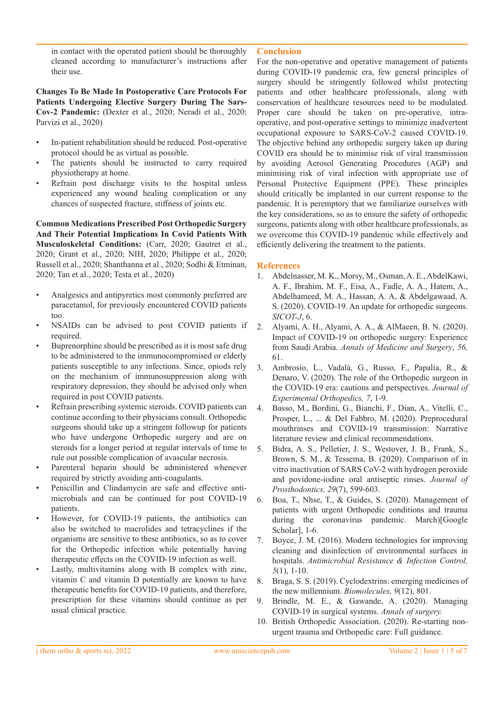in contact with the operated patient should be thoroughly cleaned according to manufacturer's instructions after their use.

**Changes To Be Made In Postoperative Care Protocols For Patients Undergoing Elective Surgery During The Sars-Cov-2 Pandemic:** (Dexter et al., 2020; Neradi et al., 2020; Parvizi et al., 2020)

- In-patient rehabilitation should be reduced. Post-operative protocol should be as virtual as possible.
- The patients should be instructed to carry required physiotherapy at home.
- Refrain post discharge visits to the hospital unless experienced any wound healing complication or any chances of suspected fracture, stiffness of joints etc.

**Common Medications Prescribed Post Orthopedic Surgery And Their Potential Implications In Covid Patients With Musculoskeletal Conditions:** (Carr, 2020; Gautret et al., 2020; Grant et al., 2020; NIH, 2020; Philippe et al., 2020; Russell et al., 2020; Shanthanna et al., 2020; Sodhi & Etminan, 2020; Tan et al., 2020; Testa et al., 2020)

- Analgesics and antipyretics most commonly preferred are paracetamol, for previously encountered COVID patients too.
- NSAIDs can be advised to post COVID patients if required.
- Buprenorphine should be prescribed as it is most safe drug to be administered to the immunocompromised or elderly patients susceptible to any infections. Since, opiods rely on the mechanism of immunosuppression along with respiratory depression, they should be advised only when required in post COVID patients.
- Refrain prescribing systemic steroids. COVID patients can continue according to their physicians consult. Orthopedic surgeons should take up a stringent followup for patients who have undergone Orthopedic surgery and are on steroids for a longer period at regular intervals of time to rule out possible complication of avascular necrosis.
- Parenteral heparin should be administered whenever required by strictly avoiding anti-coagulants.
- Penicillin and Clindamycin are safe and effective antimicrobials and can be continued for post COVID-19 patients.
- However, for COVID-19 patients, the antibiotics can also be switched to macrolides and tetracyclines if the organisms are sensitive to these antibiotics, so as to cover for the Orthopedic infection while potentially having therapeutic effects on the COVID-19 infection as well.
- Lastly, multivitamins along with B complex with zinc, vitamin C and vitamin D potentially are known to have therapeutic benefits for COVID-19 patients, and therefore, prescription for these vitamins should continue as per usual clinical practice.

## **Conclusion**

For the non-operative and operative management of patients during COVID-19 pandemic era, few general principles of surgery should be stringently followed whilst protecting patients and other healthcare professionals, along with conservation of healthcare resources need to be modulated. Proper care should be taken on pre-operative, intraoperative, and post-operative settings to minimize inadvertent occupational exposure to SARS-CoV-2 caused COVID-19. The objective behind any orthopedic surgery taken up during COVID era should be to minimise risk of viral transmission by avoiding Aerosol Generating Procedures (AGP) and minimising risk of viral infection with appropriate use of Personal Protective Equipment (PPE). These principles should critically be implanted in our current response to the pandemic. It is peremptory that we familiarize ourselves with the key considerations, so as to ensure the safety of orthopedic surgeons, patients along with other healthcare professionals, as we overcome this COVID-19 pandemic while effectively and efficiently delivering the treatment to the patients.

## **References**

- 1. Abdelnasser, M. K., Morsy, M., Osman, A. E., AbdelKawi, A. F., Ibrahim, M. F., Eisa, A., Fadle, A. A., Hatem, A., Abdelhameed, M. A., Hassan, A. A, & Abdelgawaad, A. S. (2020). COVID-19. An update for orthopedic surgeons. *SICOT-J*, 6.
- 2. Alyami, A. H., Alyami, A. A., & AlMaeen, B. N. (2020). Impact of COVID-19 on orthopedic surgery: Experience from Saudi Arabia. *Annals of Medicine and Surgery*, *56,* 61.
- 3. Ambrosio, L., Vadalà, G., Russo, F., Papalia, R., & Denaro, V. (2020). The role of the Orthopedic surgeon in the COVID-19 era: cautions and perspectives. *Journal of Experimental Orthopedics, 7*, 1-9.
- 4. Basso, M., Bordini, G., Bianchi, F., Dian, A., Vitelli, C., Prosper, L., ... & Del Fabbro, M. (2020). Preprocedural mouthrinses and COVID-19 transmission: Narrative literature review and clinical recommendations.
- 5. Bidra, A. S., Pelletier, J. S., Westover, J. B., Frank, S., Brown, S. M., & Tessema, B. (2020). Comparison of in vitro inactivation of SARS CoV-2 with hydrogen peroxide and povidone-iodine oral antiseptic rinses. *Journal of Prosthodontics, 29*(7), 599-603.
- 6. Boa, T., Nhse, T., & Guides, S. (2020). Management of patients with urgent Orthopedic conditions and trauma during the coronavirus pandemic. March)[Google Scholar], 1-6.
- 7. Boyce, J. M. (2016). Modern technologies for improving cleaning and disinfection of environmental surfaces in hospitals. *Antimicrobial Resistance & Infection Control, 5*(1), 1-10.
- 8. Braga, S. S. (2019). Cyclodextrins: emerging medicines of the new millennium. *Biomolecules, 9*(12), 801.
- 9. Brindle, M. E., & Gawande, A. (2020). Managing COVID-19 in surgical systems. *Annals of surgery.*
- 10. British Orthopedic Association. (2020). Re-starting nonurgent trauma and Orthopedic care: Full guidance.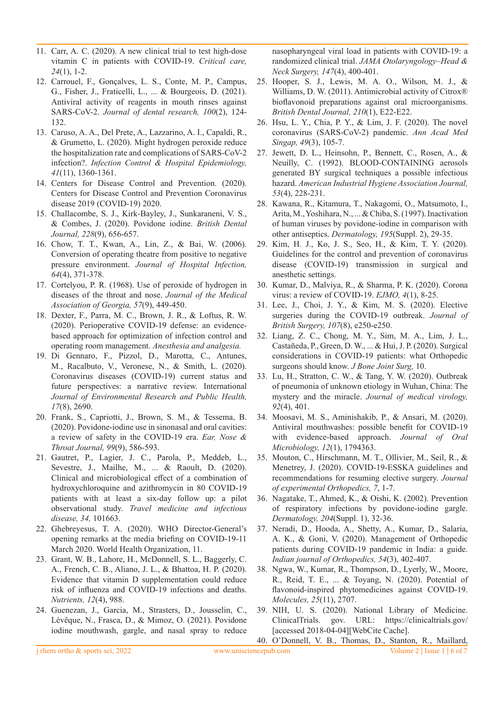- 11. Carr, A. C. (2020). A new clinical trial to test high-dose vitamin C in patients with COVID-19. *Critical care, 24*(1), 1-2.
- 12. Carrouel, F., Gonçalves, L. S., Conte, M. P., Campus, G., Fisher, J., Fraticelli, L., ... & Bourgeois, D. (2021). Antiviral activity of reagents in mouth rinses against SARS-CoV-2. *Journal of dental research, 100*(2), 124- 132.
- 13. Caruso, A. A., Del Prete, A., Lazzarino, A. I., Capaldi, R., & Grumetto, L. (2020). Might hydrogen peroxide reduce the hospitalization rate and complications of SARS-CoV-2 infection?. *Infection Control & Hospital Epidemiology, 41*(11), 1360-1361.
- 14. Centers for Disease Control and Prevention. (2020). Centers for Disease Control and Prevention Coronavirus disease 2019 (COVID-19) 2020.
- 15. Challacombe, S. J., Kirk-Bayley, J., Sunkaraneni, V. S., & Combes, J. (2020). Povidone iodine. *British Dental Journal, 228*(9), 656-657.
- 16. Chow, T. T., Kwan, A., Lin, Z., & Bai, W. (2006). Conversion of operating theatre from positive to negative pressure environment. *Journal of Hospital Infection, 64*(4), 371-378.
- 17. Cortelyou, P. R. (1968). Use of peroxide of hydrogen in diseases of the throat and nose. *Journal of the Medical Association of Georgia, 57*(9), 449-450.
- 18. Dexter, F., Parra, M. C., Brown, J. R., & Loftus, R. W. (2020). Perioperative COVID-19 defense: an evidencebased approach for optimization of infection control and operating room management. *Anesthesia and analgesia.*
- 19. Di Gennaro, F., Pizzol, D., Marotta, C., Antunes, M., Racalbuto, V., Veronese, N., & Smith, L. (2020). Coronavirus diseases (COVID-19) current status and future perspectives: a narrative review. International *Journal of Environmental Research and Public Health, 17*(8), 2690.
- 20. Frank, S., Capriotti, J., Brown, S. M., & Tessema, B. (2020). Povidone-iodine use in sinonasal and oral cavities: a review of safety in the COVID-19 era. *Ear, Nose & Throat Journal, 99*(9), 586-593.
- 21. Gautret, P., Lagier, J. C., Parola, P., Meddeb, L., Sevestre, J., Mailhe, M., ... & Raoult, D. (2020). Clinical and microbiological effect of a combination of hydroxychloroquine and azithromycin in 80 COVID-19 patients with at least a six-day follow up: a pilot observational study. *Travel medicine and infectious disease, 34,* 101663.
- 22. Ghebreyesus, T. A. (2020). WHO Director-General's opening remarks at the media briefing on COVID-19-11 March 2020. World Health Organization, 11.
- 23. Grant, W. B., Lahore, H., McDonnell, S. L., Baggerly, C. A., French, C. B., Aliano, J. L., & Bhattoa, H. P. (2020). Evidence that vitamin D supplementation could reduce risk of influenza and COVID-19 infections and deaths. *Nutrients, 12*(4), 988.
- 24. Guenezan, J., Garcia, M., Strasters, D., Jousselin, C., Lévêque, N., Frasca, D., & Mimoz, O. (2021). Povidone iodine mouthwash, gargle, and nasal spray to reduce

nasopharyngeal viral load in patients with COVID-19: a randomized clinical trial. *JAMA Otolaryngology–Head & Neck Surgery, 147*(4), 400-401.

- 25. Hooper, S. J., Lewis, M. A. O., Wilson, M. J., & Williams, D. W. (2011). Antimicrobial activity of Citrox<sup>®</sup> bioflavonoid preparations against oral microorganisms. *British Dental Journal, 210*(1), E22-E22.
- 26. Hsu, L. Y., Chia, P. Y., & Lim, J. F. (2020). The novel coronavirus (SARS-CoV-2) pandemic. *Ann Acad Med Singap, 49*(3), 105-7.
- 27. Jewett, D. L., Heinsohn, P., Bennett, C., Rosen, A., & Neuilly, C. (1992). BLOOD-CONTAINING aerosols generated BY surgical techniques a possible infectious hazard. *American Industrial Hygiene Association Journal, 53*(4), 228-231.
- 28. Kawana, R., Kitamura, T., Nakagomi, O., Matsumoto, I., Arita, M., Yoshihara, N., ... & Chiba, S. (1997). Inactivation of human viruses by povidone-iodine in comparison with other antiseptics. *Dermatology, 195*(Suppl. 2), 29-35.
- 29. Kim, H. J., Ko, J. S., Seo, H., & Kim, T. Y. (2020). Guidelines for the control and prevention of coronavirus disease (COVID-19) transmission in surgical and anesthetic settings.
- 30. Kumar, D., Malviya, R., & Sharma, P. K. (2020). Corona virus: a review of COVID-19. *EJMO, 4*(1), 8-25.
- 31. Lee, J., Choi, J. Y., & Kim, M. S. (2020). Elective surgeries during the COVID-19 outbreak. *Journal of British Surgery, 107*(8), e250-e250.
- 32. Liang, Z. C., Chong, M. Y., Sim, M. A., Lim, J. L., Castañeda, P., Green, D. W., ... & Hui, J. P. (2020). Surgical considerations in COVID-19 patients: what Orthopedic surgeons should know. *J Bone Joint Surg,* 10.
- 33. Lu, H., Stratton, C. W., & Tang, Y. W. (2020). Outbreak of pneumonia of unknown etiology in Wuhan, China: The mystery and the miracle. *Journal of medical virology, 92*(4), 401.
- 34. Moosavi, M. S., Aminishakib, P., & Ansari, M. (2020). Antiviral mouthwashes: possible benefit for COVID-19 with evidence-based approach. *Journal of Oral Microbiology, 12*(1), 1794363.
- 35. Mouton, C., Hirschmann, M. T., Ollivier, M., Seil, R., & Menetrey, J. (2020). COVID-19-ESSKA guidelines and recommendations for resuming elective surgery. *Journal of experimental Orthopedics, 7*, 1-7.
- 36. Nagatake, T., Ahmed, K., & Oishi, K. (2002). Prevention of respiratory infections by povidone-iodine gargle. *Dermatology, 204*(Suppl. 1), 32-36.
- 37. Neradi, D., Hooda, A., Shetty, A., Kumar, D., Salaria, A. K., & Goni, V. (2020). Management of Orthopedic patients during COVID-19 pandemic in India: a guide. *Indian journal of Orthopedics, 54*(3), 402-407.
- 38. Ngwa, W., Kumar, R., Thompson, D., Lyerly, W., Moore, R., Reid, T. E., ... & Toyang, N. (2020). Potential of flavonoid-inspired phytomedicines against COVID-19. *Molecules, 25*(11), 2707.
- 39. NIH, U. S. (2020). National Library of Medicine. ClinicalTrials. gov. URL: https://clinicaltrials.gov/ [accessed 2018-04-04][WebCite Cache].

40. O'Donnell, V. B., Thomas, D., Stanton, R., Maillard,

j rhem ortho & sports sci, 2022 www.unisciencepub.com Volume 2 | Issue 1 | 6 of 7